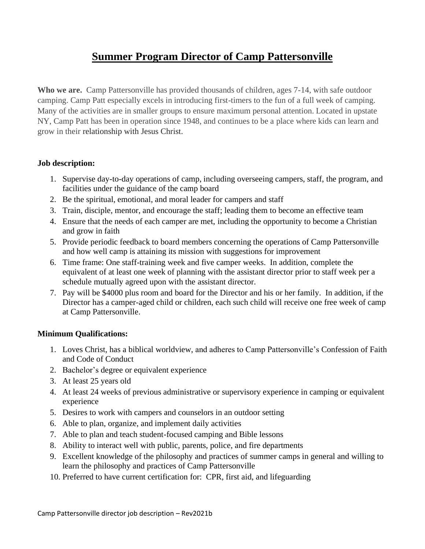## **Summer Program Director of Camp Pattersonville**

**Who we are.** Camp Pattersonville has provided thousands of children, ages 7-14, with safe outdoor camping. Camp Patt especially excels in introducing first-timers to the fun of a full week of camping. Many of the activities are in smaller groups to ensure maximum personal attention. Located in upstate NY, Camp Patt has been in operation since 1948, and continues to be a place where kids can learn and grow in their relationship with Jesus Christ.

## **Job description:**

- 1. Supervise day-to-day operations of camp, including overseeing campers, staff, the program, and facilities under the guidance of the camp board
- 2. Be the spiritual, emotional, and moral leader for campers and staff
- 3. Train, disciple, mentor, and encourage the staff; leading them to become an effective team
- 4. Ensure that the needs of each camper are met, including the opportunity to become a Christian and grow in faith
- 5. Provide periodic feedback to board members concerning the operations of Camp Pattersonville and how well camp is attaining its mission with suggestions for improvement
- 6. Time frame: One staff-training week and five camper weeks. In addition, complete the equivalent of at least one week of planning with the assistant director prior to staff week per a schedule mutually agreed upon with the assistant director.
- 7. Pay will be \$4000 plus room and board for the Director and his or her family. In addition, if the Director has a camper-aged child or children, each such child will receive one free week of camp at Camp Pattersonville.

## **Minimum Qualifications:**

- 1. Loves Christ, has a biblical worldview, and adheres to Camp Pattersonville's Confession of Faith and Code of Conduct
- 2. Bachelor's degree or equivalent experience
- 3. At least 25 years old
- 4. At least 24 weeks of previous administrative or supervisory experience in camping or equivalent experience
- 5. Desires to work with campers and counselors in an outdoor setting
- 6. Able to plan, organize, and implement daily activities
- 7. Able to plan and teach student-focused camping and Bible lessons
- 8. Ability to interact well with public, parents, police, and fire departments
- 9. Excellent knowledge of the philosophy and practices of summer camps in general and willing to learn the philosophy and practices of Camp Pattersonville
- 10. Preferred to have current certification for: CPR, first aid, and lifeguarding